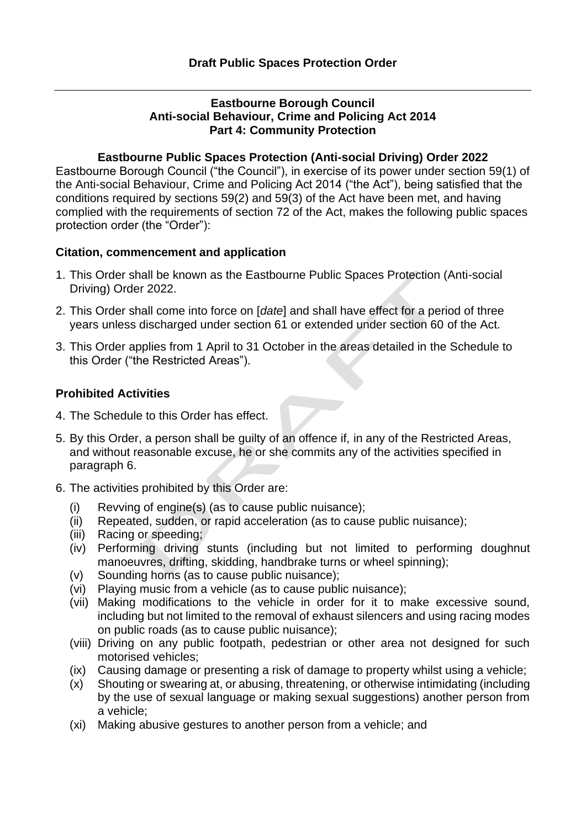#### **Eastbourne Borough Council Anti-social Behaviour, Crime and Policing Act 2014 Part 4: Community Protection**

#### **Eastbourne Public Spaces Protection (Anti-social Driving) Order 2022**

Eastbourne Borough Council ("the Council"), in exercise of its power under section 59(1) of the Anti-social Behaviour, Crime and Policing Act 2014 ("the Act"), being satisfied that the conditions required by sections 59(2) and 59(3) of the Act have been met, and having complied with the requirements of section 72 of the Act, makes the following public spaces protection order (the "Order"):

#### **Citation, commencement and application**

- 1. This Order shall be known as the Eastbourne Public Spaces Protection (Anti-social Driving) Order 2022.
- 2. This Order shall come into force on [*date*] and shall have effect for a period of three years unless discharged under section 61 or extended under section 60 of the Act.
- 3. This Order applies from 1 April to 31 October in the areas detailed in the Schedule to this Order ("the Restricted Areas").

### **Prohibited Activities**

- 4. The Schedule to this Order has effect.
- 5. By this Order, a person shall be guilty of an offence if, in any of the Restricted Areas, and without reasonable excuse, he or she commits any of the activities specified in paragraph 6.
- 6. The activities prohibited by this Order are:
	- (i) Revving of engine(s) (as to cause public nuisance);
	- (ii) Repeated, sudden, or rapid acceleration (as to cause public nuisance);
	- (iii) Racing or speeding;
	- (iv) Performing driving stunts (including but not limited to performing doughnut manoeuvres, drifting, skidding, handbrake turns or wheel spinning);
	- (v) Sounding horns (as to cause public nuisance);
	- (vi) Playing music from a vehicle (as to cause public nuisance);
	- (vii) Making modifications to the vehicle in order for it to make excessive sound, including but not limited to the removal of exhaust silencers and using racing modes on public roads (as to cause public nuisance);
	- (viii) Driving on any public footpath, pedestrian or other area not designed for such motorised vehicles;
	- (ix) Causing damage or presenting a risk of damage to property whilst using a vehicle;
	- (x) Shouting or swearing at, or abusing, threatening, or otherwise intimidating (including by the use of sexual language or making sexual suggestions) another person from a vehicle;
	- (xi) Making abusive gestures to another person from a vehicle; and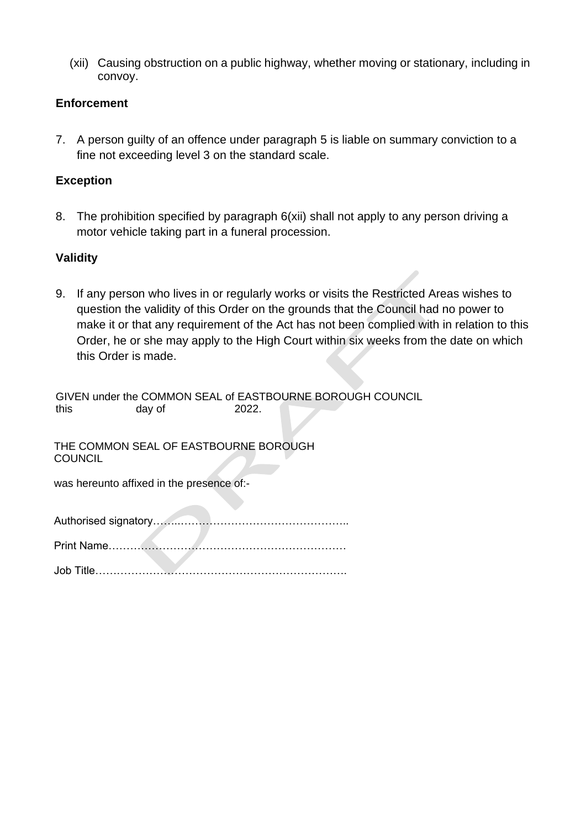(xii) Causing obstruction on a public highway, whether moving or stationary, including in convoy.

### **Enforcement**

7. A person guilty of an offence under paragraph 5 is liable on summary conviction to a fine not exceeding level 3 on the standard scale.

## **Exception**

8. The prohibition specified by paragraph 6(xii) shall not apply to any person driving a motor vehicle taking part in a funeral procession.

# **Validity**

9. If any person who lives in or regularly works or visits the Restricted Areas wishes to question the validity of this Order on the grounds that the Council had no power to make it or that any requirement of the Act has not been complied with in relation to this Order, he or she may apply to the High Court within six weeks from the date on which this Order is made.

GIVEN under the COMMON SEAL of EASTBOURNE BOROUGH COUNCIL this day of 2022.

THE COMMON SEAL OF EASTBOURNE BOROUGH **COUNCIL** 

was hereunto affixed in the presence of:-

|--|--|--|--|

**Contract Contract Contract** 

Print Name…………………………………………………………

Job Title…………………………………………………………….